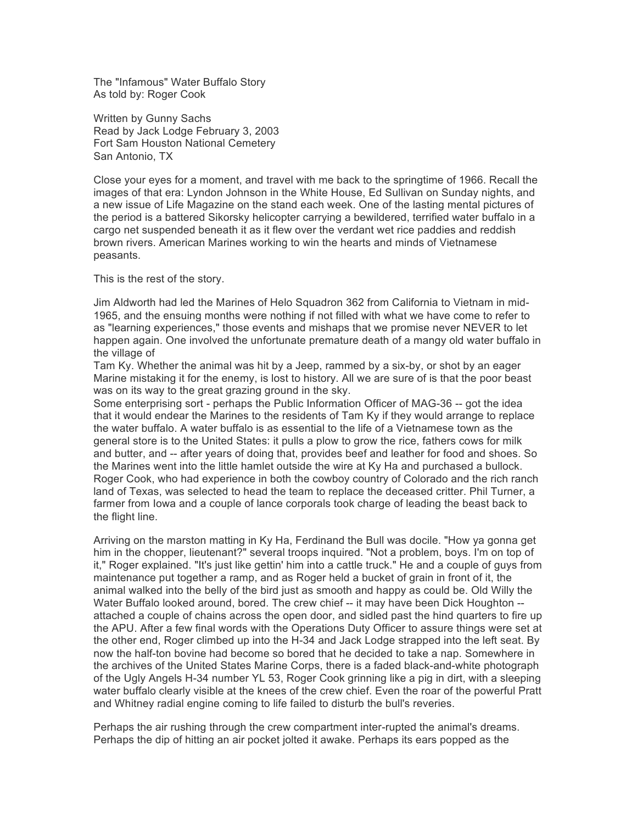The "Infamous" Water Buffalo Story As told by: Roger Cook

Written by Gunny Sachs Read by Jack Lodge February 3, 2003 Fort Sam Houston National Cemetery San Antonio, TX

Close your eyes for a moment, and travel with me back to the springtime of 1966. Recall the images of that era: Lyndon Johnson in the White House, Ed Sullivan on Sunday nights, and a new issue of Life Magazine on the stand each week. One of the lasting mental pictures of the period is a battered Sikorsky helicopter carrying a bewildered, terrified water buffalo in a cargo net suspended beneath it as it flew over the verdant wet rice paddies and reddish brown rivers. American Marines working to win the hearts and minds of Vietnamese peasants.

This is the rest of the story.

Jim Aldworth had led the Marines of Helo Squadron 362 from California to Vietnam in mid-1965, and the ensuing months were nothing if not filled with what we have come to refer to as "learning experiences," those events and mishaps that we promise never NEVER to let happen again. One involved the unfortunate premature death of a mangy old water buffalo in the village of

Tam Ky. Whether the animal was hit by a Jeep, rammed by a six-by, or shot by an eager Marine mistaking it for the enemy, is lost to history. All we are sure of is that the poor beast was on its way to the great grazing ground in the sky.

Some enterprising sort - perhaps the Public Information Officer of MAG-36 -- got the idea that it would endear the Marines to the residents of Tam Ky if they would arrange to replace the water buffalo. A water buffalo is as essential to the life of a Vietnamese town as the general store is to the United States: it pulls a plow to grow the rice, fathers cows for milk and butter, and -- after years of doing that, provides beef and leather for food and shoes. So the Marines went into the little hamlet outside the wire at Ky Ha and purchased a bullock. Roger Cook, who had experience in both the cowboy country of Colorado and the rich ranch land of Texas, was selected to head the team to replace the deceased critter. Phil Turner, a farmer from Iowa and a couple of lance corporals took charge of leading the beast back to the flight line.

Arriving on the marston matting in Ky Ha, Ferdinand the Bull was docile. "How ya gonna get him in the chopper, lieutenant?" several troops inquired. "Not a problem, boys. I'm on top of it," Roger explained. "It's just like gettin' him into a cattle truck." He and a couple of guys from maintenance put together a ramp, and as Roger held a bucket of grain in front of it, the animal walked into the belly of the bird just as smooth and happy as could be. Old Willy the Water Buffalo looked around, bored. The crew chief -- it may have been Dick Houghton -attached a couple of chains across the open door, and sidled past the hind quarters to fire up the APU. After a few final words with the Operations Duty Officer to assure things were set at the other end, Roger climbed up into the H-34 and Jack Lodge strapped into the left seat. By now the half-ton bovine had become so bored that he decided to take a nap. Somewhere in the archives of the United States Marine Corps, there is a faded black-and-white photograph of the Ugly Angels H-34 number YL 53, Roger Cook grinning like a pig in dirt, with a sleeping water buffalo clearly visible at the knees of the crew chief. Even the roar of the powerful Pratt and Whitney radial engine coming to life failed to disturb the bull's reveries.

Perhaps the air rushing through the crew compartment inter-rupted the animal's dreams. Perhaps the dip of hitting an air pocket jolted it awake. Perhaps its ears popped as the